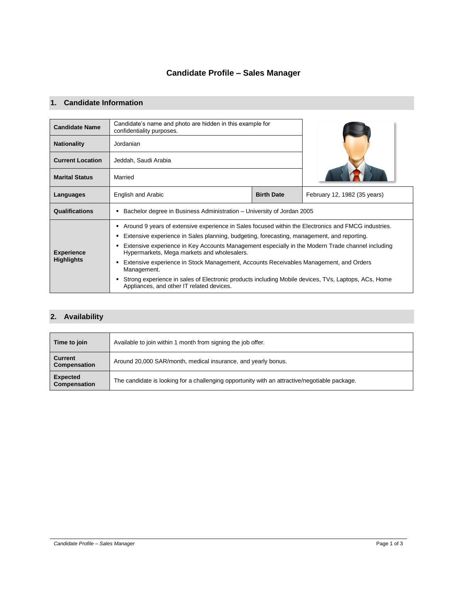## **Candidate Profile – Sales Manager**

## **1. Candidate Information**

| <b>Candidate Name</b>                  | Candidate's name and photo are hidden in this example for<br>confidentiality purposes.                                                                                                                                                                                                                                                                                                                                                                                                                                                                                                                                |                   |                              |
|----------------------------------------|-----------------------------------------------------------------------------------------------------------------------------------------------------------------------------------------------------------------------------------------------------------------------------------------------------------------------------------------------------------------------------------------------------------------------------------------------------------------------------------------------------------------------------------------------------------------------------------------------------------------------|-------------------|------------------------------|
| <b>Nationality</b>                     | Jordanian                                                                                                                                                                                                                                                                                                                                                                                                                                                                                                                                                                                                             |                   |                              |
| <b>Current Location</b>                | Jeddah, Saudi Arabia                                                                                                                                                                                                                                                                                                                                                                                                                                                                                                                                                                                                  |                   |                              |
| <b>Marital Status</b>                  | Married                                                                                                                                                                                                                                                                                                                                                                                                                                                                                                                                                                                                               |                   |                              |
| Languages                              | English and Arabic                                                                                                                                                                                                                                                                                                                                                                                                                                                                                                                                                                                                    | <b>Birth Date</b> | February 12, 1982 (35 years) |
| Qualifications                         | Bachelor degree in Business Administration - University of Jordan 2005                                                                                                                                                                                                                                                                                                                                                                                                                                                                                                                                                |                   |                              |
| <b>Experience</b><br><b>Highlights</b> | Around 9 years of extensive experience in Sales focused within the Electronics and FMCG industries.<br>٠<br>Extensive experience in Sales planning, budgeting, forecasting, management, and reporting.<br>Extensive experience in Key Accounts Management especially in the Modern Trade channel including<br>Hypermarkets, Mega markets and wholesalers.<br>Extensive experience in Stock Management, Accounts Receivables Management, and Orders<br>Management.<br>Strong experience in sales of Electronic products including Mobile devices, TVs, Laptops, ACs, Home<br>Appliances, and other IT related devices. |                   |                              |

## **2. Availability**

| Time to join                          | Available to join within 1 month from signing the job offer.                                  |  |
|---------------------------------------|-----------------------------------------------------------------------------------------------|--|
| <b>Current</b><br><b>Compensation</b> | Around 20,000 SAR/month, medical insurance, and yearly bonus.                                 |  |
| <b>Expected</b><br>Compensation       | The candidate is looking for a challenging opportunity with an attractive/negotiable package. |  |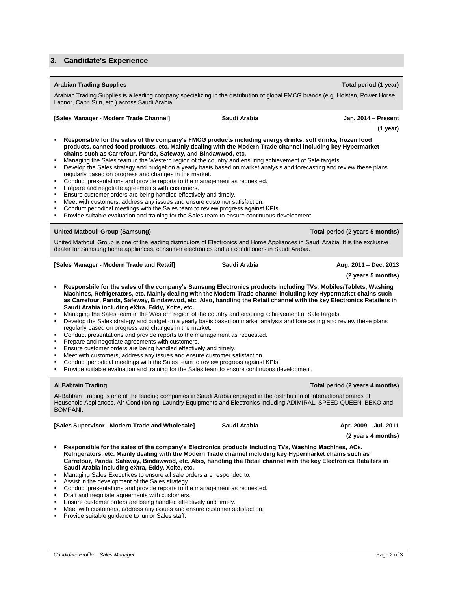## **3. Candidate's Experience**

| <b>Arabian Trading Supplies</b><br>Total period (1 year)<br>Arabian Trading Supplies is a leading company specializing in the distribution of global FMCG brands (e.g. Holsten, Power Horse,<br>Lacnor, Capri Sun, etc.) across Saudi Arabia.                                                                                                                                                                                                                                                                                                                                                                                                                                                                                                                                                                                                                                                                                                                                                                                                                                                                                                                                                                                                                             |              |                                             |  |  |
|---------------------------------------------------------------------------------------------------------------------------------------------------------------------------------------------------------------------------------------------------------------------------------------------------------------------------------------------------------------------------------------------------------------------------------------------------------------------------------------------------------------------------------------------------------------------------------------------------------------------------------------------------------------------------------------------------------------------------------------------------------------------------------------------------------------------------------------------------------------------------------------------------------------------------------------------------------------------------------------------------------------------------------------------------------------------------------------------------------------------------------------------------------------------------------------------------------------------------------------------------------------------------|--------------|---------------------------------------------|--|--|
| [Sales Manager - Modern Trade Channel]                                                                                                                                                                                                                                                                                                                                                                                                                                                                                                                                                                                                                                                                                                                                                                                                                                                                                                                                                                                                                                                                                                                                                                                                                                    | Saudi Arabia | Jan. 2014 - Present                         |  |  |
|                                                                                                                                                                                                                                                                                                                                                                                                                                                                                                                                                                                                                                                                                                                                                                                                                                                                                                                                                                                                                                                                                                                                                                                                                                                                           |              | $(1$ year)                                  |  |  |
| Responsible for the sales of the company's FMCG products including energy drinks, soft drinks, frozen food<br>products, canned food products, etc. Mainly dealing with the Modern Trade channel including key Hypermarket<br>chains such as Carrefour, Panda, Safeway, and Bindawwod, etc.<br>Managing the Sales team in the Western region of the country and ensuring achievement of Sale targets.<br>٠<br>Develop the Sales strategy and budget on a yearly basis based on market analysis and forecasting and review these plans<br>٠<br>regularly based on progress and changes in the market.<br>Conduct presentations and provide reports to the management as requested.<br>$\blacksquare$<br>Prepare and negotiate agreements with customers.<br>Ensure customer orders are being handled effectively and timely.<br>٠<br>Meet with customers, address any issues and ensure customer satisfaction.<br>٠<br>Conduct periodical meetings with the Sales team to review progress against KPIs.<br>٠<br>Provide suitable evaluation and training for the Sales team to ensure continuous development.<br>٠                                                                                                                                                          |              |                                             |  |  |
| <b>United Matbouli Group (Samsung)</b>                                                                                                                                                                                                                                                                                                                                                                                                                                                                                                                                                                                                                                                                                                                                                                                                                                                                                                                                                                                                                                                                                                                                                                                                                                    |              | Total period (2 years 5 months)             |  |  |
| United Matbouli Group is one of the leading distributors of Electronics and Home Appliances in Saudi Arabia. It is the exclusive<br>dealer for Samsung home appliances, consumer electronics and air conditioners in Saudi Arabia.                                                                                                                                                                                                                                                                                                                                                                                                                                                                                                                                                                                                                                                                                                                                                                                                                                                                                                                                                                                                                                        |              |                                             |  |  |
| [Sales Manager - Modern Trade and Retail]                                                                                                                                                                                                                                                                                                                                                                                                                                                                                                                                                                                                                                                                                                                                                                                                                                                                                                                                                                                                                                                                                                                                                                                                                                 | Saudi Arabia | Aug. 2011 - Dec. 2013<br>(2 years 5 months) |  |  |
| Responsbile for the sales of the company's Samsung Electronics products including TVs, Mobiles/Tablets, Washing<br>$\blacksquare$<br>Machines, Refrigerators, etc. Mainly dealing with the Modern Trade channel including key Hypermarket chains such<br>as Carrefour, Panda, Safeway, Bindawwod, etc. Also, handling the Retail channel with the key Electronics Retailers in<br>Saudi Arabia including eXtra, Eddy, Xcite, etc.<br>Managing the Sales team in the Western region of the country and ensuring achievement of Sale targets.<br>٠<br>Develop the Sales strategy and budget on a yearly basis based on market analysis and forecasting and review these plans<br>٠<br>regularly based on progress and changes in the market.<br>Conduct presentations and provide reports to the management as requested.<br>٠<br>Prepare and negotiate agreements with customers.<br>$\blacksquare$<br>Ensure customer orders are being handled effectively and timely.<br>٠<br>Meet with customers, address any issues and ensure customer satisfaction.<br>٠<br>Conduct periodical meetings with the Sales team to review progress against KPIs.<br>$\blacksquare$<br>Provide suitable evaluation and training for the Sales team to ensure continuous development.<br>٠ |              |                                             |  |  |
| <b>Al Babtain Trading</b>                                                                                                                                                                                                                                                                                                                                                                                                                                                                                                                                                                                                                                                                                                                                                                                                                                                                                                                                                                                                                                                                                                                                                                                                                                                 |              | Total period (2 years 4 months)             |  |  |
| Al-Babtain Trading is one of the leading companies in Saudi Arabia engaged in the distribution of international brands of<br>Household Appliances, Air-Conditioning, Laundry Equipments and Electronics including ADIMIRAL, SPEED QUEEN, BEKO and<br>BOMPANI.                                                                                                                                                                                                                                                                                                                                                                                                                                                                                                                                                                                                                                                                                                                                                                                                                                                                                                                                                                                                             |              |                                             |  |  |
| [Sales Supervisor - Modern Trade and Wholesale]                                                                                                                                                                                                                                                                                                                                                                                                                                                                                                                                                                                                                                                                                                                                                                                                                                                                                                                                                                                                                                                                                                                                                                                                                           | Saudi Arabia | Apr. 2009 - Jul. 2011                       |  |  |
|                                                                                                                                                                                                                                                                                                                                                                                                                                                                                                                                                                                                                                                                                                                                                                                                                                                                                                                                                                                                                                                                                                                                                                                                                                                                           |              | (2 years 4 months)                          |  |  |
| Responsible for the sales of the company's Electronics products including TVs, Washing Machines, ACs,<br>Refrigerators, etc. Mainly dealing with the Modern Trade channel including key Hypermarket chains such as<br>Carrefour, Panda, Safeway, Bindawwod, etc. Also, handling the Retail channel with the key Electronics Retailers in<br>Saudi Arabia including eXtra, Eddy, Xcite, etc.<br>Managing Sales Executives to ensure all sale orders are responded to.<br>٠<br>Assist in the development of the Sales strategy.                                                                                                                                                                                                                                                                                                                                                                                                                                                                                                                                                                                                                                                                                                                                             |              |                                             |  |  |

- **•** Conduct presentations and provide reports to the management as requested.
- **Draft and negotiate agreements with customers.**
- **Ensure customer orders are being handled effectively and timely.**
- **EXECT** Meet with customers, address any issues and ensure customer satisfaction.
- **•** Provide suitable guidance to junior Sales staff.